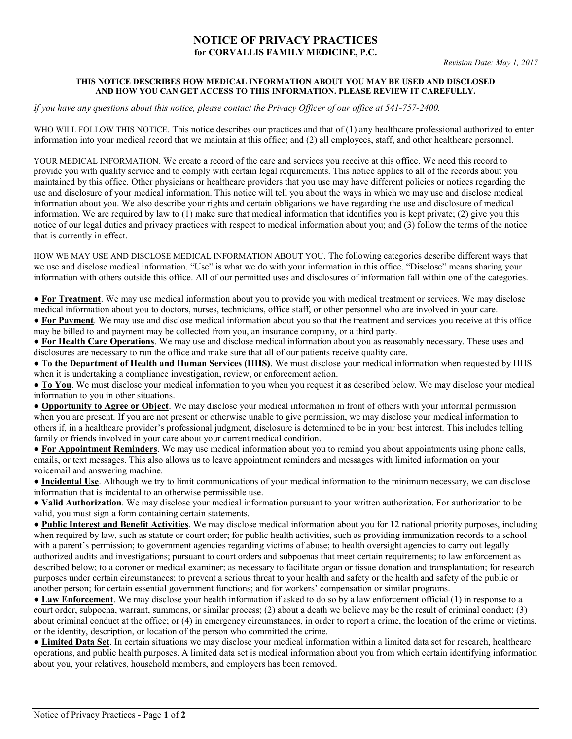## NOTICE OF PRIVACY PRACTICES for CORVALLIS FAMILY MEDICINE, P.C.

## THIS NOTICE DESCRIBES HOW MEDICAL INFORMATION ABOUT YOU MAY BE USED AND DISCLOSED AND HOW YOU CAN GET ACCESS TO THIS INFORMATION. PLEASE REVIEW IT CAREFULLY.

If you have any questions about this notice, please contact the Privacy Officer of our office at 541-757-2400.

WHO WILL FOLLOW THIS NOTICE. This notice describes our practices and that of (1) any healthcare professional authorized to enter information into your medical record that we maintain at this office; and (2) all employees, staff, and other healthcare personnel.

YOUR MEDICAL INFORMATION. We create a record of the care and services you receive at this office. We need this record to provide you with quality service and to comply with certain legal requirements. This notice applies to all of the records about you maintained by this office. Other physicians or healthcare providers that you use may have different policies or notices regarding the use and disclosure of your medical information. This notice will tell you about the ways in which we may use and disclose medical information about you. We also describe your rights and certain obligations we have regarding the use and disclosure of medical information. We are required by law to  $(1)$  make sure that medical information that identifies you is kept private;  $(2)$  give you this notice of our legal duties and privacy practices with respect to medical information about you; and (3) follow the terms of the notice that is currently in effect.

HOW WE MAY USE AND DISCLOSE MEDICAL INFORMATION ABOUT YOU. The following categories describe different ways that we use and disclose medical information. "Use" is what we do with your information in this office. "Disclose" means sharing your information with others outside this office. All of our permitted uses and disclosures of information fall within one of the categories.

● For Treatment. We may use medical information about you to provide you with medical treatment or services. We may disclose medical information about you to doctors, nurses, technicians, office staff, or other personnel who are involved in your care.

• For Payment. We may use and disclose medical information about you so that the treatment and services you receive at this office may be billed to and payment may be collected from you, an insurance company, or a third party.

● For Health Care Operations. We may use and disclose medical information about you as reasonably necessary. These uses and disclosures are necessary to run the office and make sure that all of our patients receive quality care.

● To the Department of Health and Human Services (HHS). We must disclose your medical information when requested by HHS when it is undertaking a compliance investigation, review, or enforcement action.

● To You. We must disclose your medical information to you when you request it as described below. We may disclose your medical information to you in other situations.

● Opportunity to Agree or Object. We may disclose your medical information in front of others with your informal permission when you are present. If you are not present or otherwise unable to give permission, we may disclose your medical information to others if, in a healthcare provider's professional judgment, disclosure is determined to be in your best interest. This includes telling family or friends involved in your care about your current medical condition.

• For Appointment Reminders. We may use medical information about you to remind you about appointments using phone calls, emails, or text messages. This also allows us to leave appointment reminders and messages with limited information on your voicemail and answering machine.

● Incidental Use. Although we try to limit communications of your medical information to the minimum necessary, we can disclose information that is incidental to an otherwise permissible use.

• Valid Authorization. We may disclose your medical information pursuant to your written authorization. For authorization to be valid, you must sign a form containing certain statements.

● Public Interest and Benefit Activities. We may disclose medical information about you for 12 national priority purposes, including when required by law, such as statute or court order; for public health activities, such as providing immunization records to a school with a parent's permission; to government agencies regarding victims of abuse; to health oversight agencies to carry out legally authorized audits and investigations; pursuant to court orders and subpoenas that meet certain requirements; to law enforcement as described below; to a coroner or medical examiner; as necessary to facilitate organ or tissue donation and transplantation; for research purposes under certain circumstances; to prevent a serious threat to your health and safety or the health and safety of the public or another person; for certain essential government functions; and for workers' compensation or similar programs.

● Law Enforcement. We may disclose your health information if asked to do so by a law enforcement official (1) in response to a court order, subpoena, warrant, summons, or similar process; (2) about a death we believe may be the result of criminal conduct; (3) about criminal conduct at the office; or (4) in emergency circumstances, in order to report a crime, the location of the crime or victims, or the identity, description, or location of the person who committed the crime.

**• Limited Data Set**. In certain situations we may disclose your medical information within a limited data set for research, healthcare operations, and public health purposes. A limited data set is medical information about you from which certain identifying information about you, your relatives, household members, and employers has been removed.